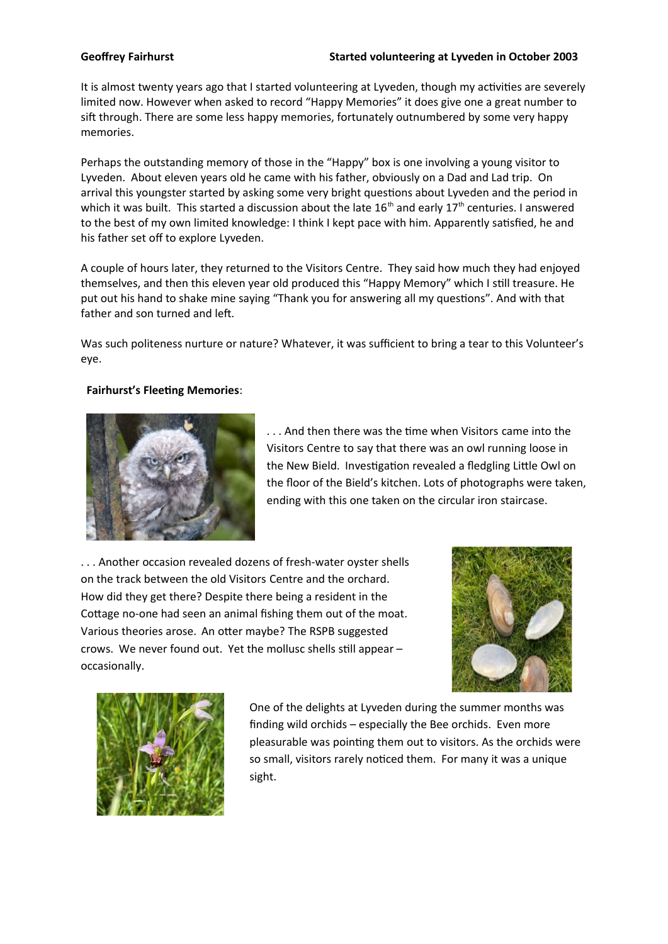## **Geoffrey Fairhurst Started volunteering at Lyveden in October 2003**

It is almost twenty years ago that I started volunteering at Lyveden, though my activities are severely limited now. However when asked to record "Happy Memories" it does give one a great number to sift through. There are some less happy memories, fortunately outnumbered by some very happy memories.

Perhaps the outstanding memory of those in the "Happy" box is one involving a young visitor to Lyveden. About eleven years old he came with his father, obviously on a Dad and Lad trip. On arrival this youngster started by asking some very bright questions about Lyveden and the period in which it was built. This started a discussion about the late  $16<sup>th</sup>$  and early  $17<sup>th</sup>$  centuries. I answered to the best of my own limited knowledge: I think I kept pace with him. Apparently satisfied, he and his father set off to explore Lyveden.

A couple of hours later, they returned to the Visitors Centre. They said how much they had enjoyed themselves, and then this eleven year old produced this "Happy Memory" which I still treasure. He put out his hand to shake mine saying "Thank you for answering all my questions". And with that father and son turned and left.

Was such politeness nurture or nature? Whatever, it was sufficient to bring a tear to this Volunteer's eye.

## **Fairhurst's Fleeting Memories**:



. . . And then there was the time when Visitors came into the Visitors Centre to say that there was an owl running loose in the New Bield. Investigation revealed a fledgling Little Owl on the floor of the Bield's kitchen. Lots of photographs were taken, ending with this one taken on the circular iron staircase.

. . . Another occasion revealed dozens of fresh-water oyster shells on the track between the old Visitors Centre and the orchard. How did they get there? Despite there being a resident in the Cottage no-one had seen an animal fishing them out of the moat. Various theories arose. An otter maybe? The RSPB suggested crows. We never found out. Yet the mollusc shells still appear – occasionally.





One of the delights at Lyveden during the summer months was finding wild orchids – especially the Bee orchids. Even more pleasurable was pointing them out to visitors. As the orchids were so small, visitors rarely noticed them. For many it was a unique sight.